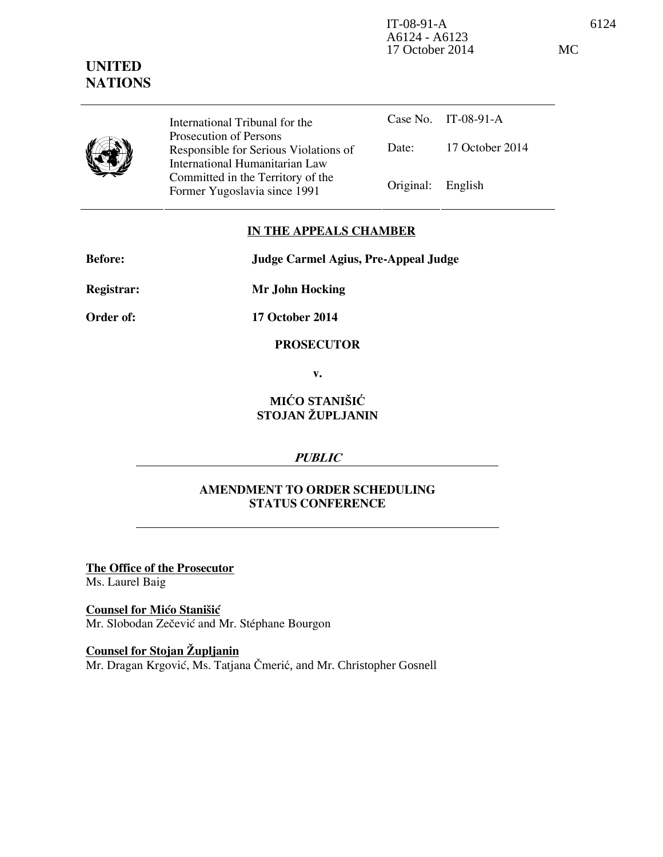IT-08-91-A 6124 A6124 - A6123 17 October 2014 MC

International Tribunal for the Prosecution of Persons Responsible for Serious Violations of International Humanitarian Law Committed in the Territory of the Former Yugoslavia since 1991 Original: English

Case No. IT-08-91-A Date: 17 October 2014

## **IN THE APPEALS CHAMBER**

**Before: Judge Carmel Agius, Pre-Appeal Judge** 

**Registrar: Mr John Hocking** 

**Order of: 17 October 2014** 

**PROSECUTOR** 

**v.** 

## **MIĆO STANIŠIĆ STOJAN ŽUPLJANIN**

## **PUBLIC**

## **AMENDMENT TO ORDER SCHEDULING STATUS CONFERENCE**

**The Office of the Prosecutor** Ms. Laurel Baig

**Counsel for Mićo Stanišić** Mr. Slobodan Zečević and Mr. Stéphane Bourgon

**Counsel for Stojan Župljanin** Mr. Dragan Krgović, Ms. Tatjana Čmerić, and Mr. Christopher Gosnell